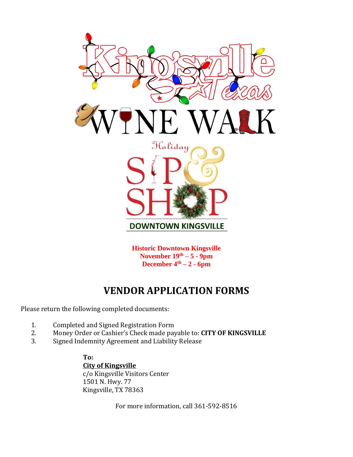

**Historic Downtown Kingsville November 19th – 5 - 9pm December 4<sup>th</sup> – 2 <b>-**  $6$ **pm** 

# **VENDOR APPLICATION FORMS**

Please return the following completed documents:

- 1. Completed and Signed Registration Form
- 2. Money Order or Cashier's Check made payable to: **CITY OF KINGSVILLE**
- 3. Signed Indemnity Agreement and Liability Release

**To: City of Kingsville** c/o Kingsville Visitors Center 1501 N. Hwy. 77 Kingsville, TX 78363

For more information, call 361-592-8516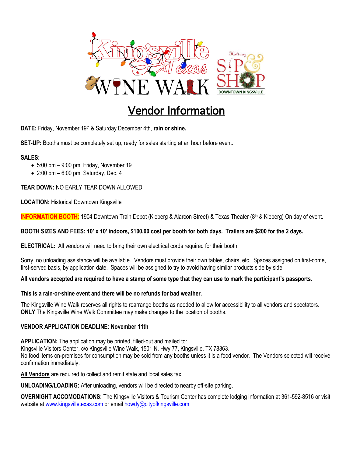

# Vendor Information

**DATE:** Friday, November 19<sup>th</sup> & Saturday December 4th, rain or shine.

**SET-UP:** Booths must be completely set up, ready for sales starting at an hour before event.

#### **SALES:**

- $\bullet$  5:00 pm  $-$  9:00 pm, Friday, November 19
- $\bullet$  2:00 pm  $-$  6:00 pm, Saturday, Dec. 4

**TEAR DOWN:** NO EARLY TEAR DOWN ALLOWED.

**LOCATION:** Historical Downtown Kingsville

**INFORMATION BOOTH:** 1904 Downtown Train Depot (Kleberg & Alarcon Street) & Texas Theater (8<sup>th</sup> & Kleberg) On day of event.

#### **BOOTH SIZES AND FEES: 10' x 10' indoors, \$100.00 cost per booth for both days. Trailers are \$200 for the 2 days.**

**ELECTRICAL:** All vendors will need to bring their own electrical cords required for their booth.

Sorry, no unloading assistance will be available. Vendors must provide their own tables, chairs, etc. Spaces assigned on first-come, first-served basis, by application date. Spaces will be assigned to try to avoid having similar products side by side.

#### **All vendors accepted are required to have a stamp of some type that they can use to mark the participant's passports.**

#### **This is a rain-or-shine event and there will be no refunds for bad weather.**

The Kingsville Wine Walk reserves all rights to rearrange booths as needed to allow for accessibility to all vendors and spectators. **ONLY** The Kingsville Wine Walk Committee may make changes to the location of booths.

#### **VENDOR APPLICATION DEADLINE: November 11th**

**APPLICATION:** The application may be printed, filled-out and mailed to: Kingsville Visitors Center, c/o Kingsville Wine Walk, 1501 N. Hwy 77, Kingsville, TX 78363. No food items on-premises for consumption may be sold from any booths unless it is a food vendor. The Vendors selected will receive confirmation immediately.

**All Vendors** are required to collect and remit state and local sales tax.

**UNLOADING/LOADING:** After unloading, vendors will be directed to nearby off-site parking.

**OVERNIGHT ACCOMODATIONS:** The Kingsville Visitors & Tourism Center has complete lodging information at 361-592-8516 or visit website at [www.kingsvilletexas.com](http://www.kingsvilletexas.com/) or email [howdy@cityofkingsville.com](mailto:howdy@cityofkingsville.com)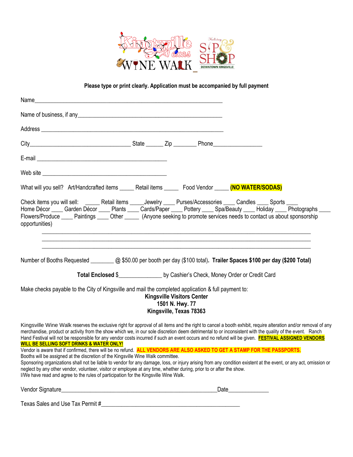

#### **Please type or print clearly. Application must be accompanied by full payment**

| What will you sell? Art/Handcrafted items _______ Retail items ________ Food Vendor ______ (NO WATER/SODAS)                                                                                                                                                                                                                                                                                                                                                                                                                                                                                      |  |                                                                                 |  |
|--------------------------------------------------------------------------------------------------------------------------------------------------------------------------------------------------------------------------------------------------------------------------------------------------------------------------------------------------------------------------------------------------------------------------------------------------------------------------------------------------------------------------------------------------------------------------------------------------|--|---------------------------------------------------------------------------------|--|
| Check items you will sell: ______ Retail items _____Jewelry ____ Purses/Accessories ____ Candles ____ Sports ____<br>Home Décor ____ Garden Décor ____ Plants ____ Cards/Paper ____ Pottery ____ Spa/Beauty ____ Holiday ____ Photographs _<br>Flowers/Produce _____ Paintings _____ Other ______ (Anyone seeking to promote services needs to contact us about sponsorship<br>opportunities)                                                                                                                                                                                                    |  |                                                                                 |  |
| Number of Booths Requested __________ @ \$50.00 per booth per day (\$100 total). Trailer Spaces \$100 per day (\$200 Total)<br>Total Enclosed \$__________________ by Cashier's Check, Money Order or Credit Card                                                                                                                                                                                                                                                                                                                                                                                |  |                                                                                 |  |
| Make checks payable to the City of Kingsville and mail the completed application & full payment to:                                                                                                                                                                                                                                                                                                                                                                                                                                                                                              |  | <b>Kingsville Visitors Center</b><br>1501 N. Hwy. 77<br>Kingsville, Texas 78363 |  |
| Kingsville Wine Walk reserves the exclusive right for approval of all items and the right to cancel a booth exhibit, require alteration and/or removal of any<br>merchandise, product or activity from the show which we, in our sole discretion deem detrimental to or inconsistent with the quality of the event. Ranch<br>Hand Festival will not be responsible for any vendor costs incurred if such an event occurs and no refund will be given. <b>FESTIVAL ASSIGNED VENDORS</b><br><b>WILL BE SELLING SOFT DRINKS &amp; WATER ONLY!</b>                                                   |  |                                                                                 |  |
| Vendor is aware that if confirmed, there will be no refund. ALL VENDORS ARE ALSO ASKED TO GET A STAMP FOR THE PASSPORTS.<br>Booths will be assigned at the discretion of the Kingsville Wine Walk committee.<br>Sponsoring organizations shall not be liable to vendor for any damage, loss, or injury arising from any condition existent at the event, or any act, omission or<br>neglect by any other vendor, volunteer, visitor or employee at any time, whether during, prior to or after the show.<br>I/We have read and agree to the rules of participation for the Kingsville Wine Walk. |  |                                                                                 |  |
|                                                                                                                                                                                                                                                                                                                                                                                                                                                                                                                                                                                                  |  |                                                                                 |  |
|                                                                                                                                                                                                                                                                                                                                                                                                                                                                                                                                                                                                  |  |                                                                                 |  |